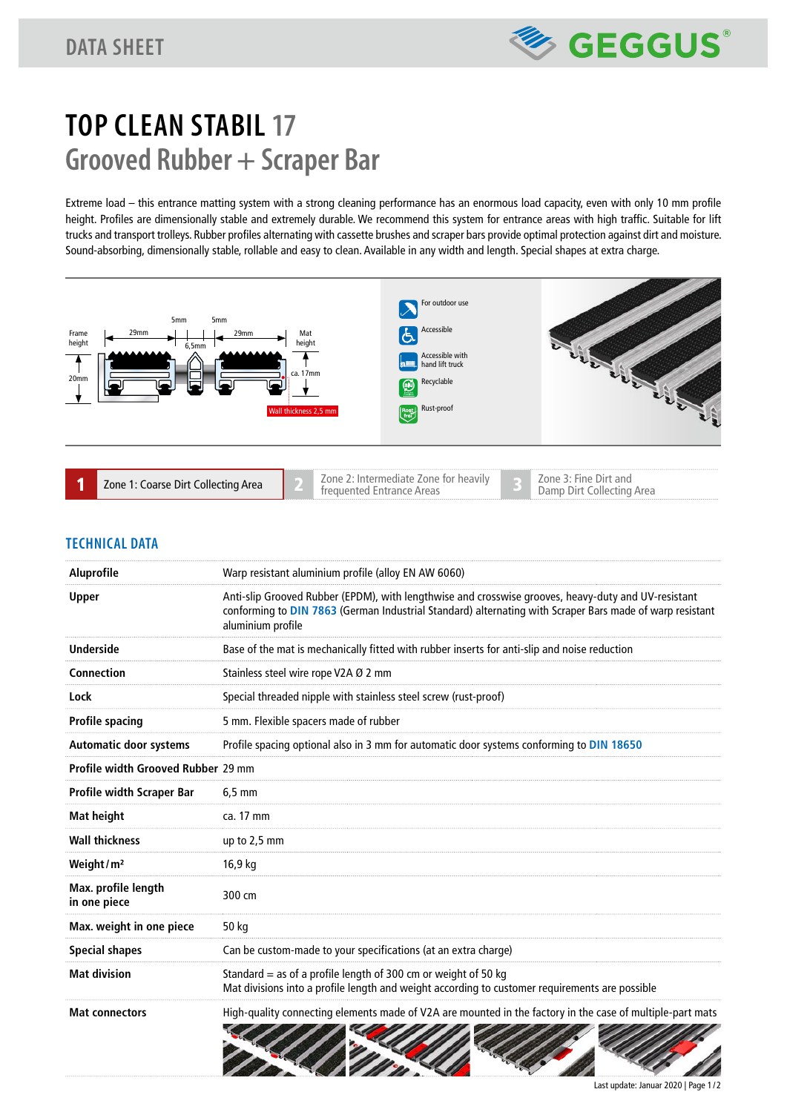

# **TOP CLEAN STABIL 17 Grooved Rubber + Scraper Bar**

Extreme load – this entrance matting system with a strong cleaning performance has an enormous load capacity, even with only 10 mm profile height. Profiles are dimensionally stable and extremely durable. We recommend this system for entrance areas with high traffic. Suitable for lift trucks and transport trolleys. Rubber profiles alternating with cassette brushes and scraper bars provide optimal protection against dirt and moisture. Sound-absorbing, dimensionally stable, rollable and easy to clean. Available in any width and length. Special shapes at extra charge.



| ■ Zone 2: Intermediate Zone for heavily<br>Zone 3: Fine Dirt and<br>Zone 1: Coarse Dirt Collecting Area<br>Damp Dirt Collecting Area<br>frequented Entrance Areas |
|-------------------------------------------------------------------------------------------------------------------------------------------------------------------|
|-------------------------------------------------------------------------------------------------------------------------------------------------------------------|

## **TECHNICAL DATA**

| Aluprofile                          | Warp resistant aluminium profile (alloy EN AW 6060)                                                                                                                                                                                  |  |
|-------------------------------------|--------------------------------------------------------------------------------------------------------------------------------------------------------------------------------------------------------------------------------------|--|
| Upper                               | Anti-slip Grooved Rubber (EPDM), with lengthwise and crosswise grooves, heavy-duty and UV-resistant<br>conforming to DIN 7863 (German Industrial Standard) alternating with Scraper Bars made of warp resistant<br>aluminium profile |  |
| <b>Underside</b>                    | Base of the mat is mechanically fitted with rubber inserts for anti-slip and noise reduction                                                                                                                                         |  |
| Connection                          | Stainless steel wire rope V2A Ø 2 mm                                                                                                                                                                                                 |  |
| Lock                                | Special threaded nipple with stainless steel screw (rust-proof)                                                                                                                                                                      |  |
| <b>Profile spacing</b>              | 5 mm. Flexible spacers made of rubber                                                                                                                                                                                                |  |
| <b>Automatic door systems</b>       | Profile spacing optional also in 3 mm for automatic door systems conforming to DIN 18650                                                                                                                                             |  |
| Profile width Grooved Rubber 29 mm  |                                                                                                                                                                                                                                      |  |
| <b>Profile width Scraper Bar</b>    | $6,5$ mm                                                                                                                                                                                                                             |  |
| <b>Mat height</b>                   | ca. 17 mm                                                                                                                                                                                                                            |  |
| <b>Wall thickness</b>               | up to 2,5 mm                                                                                                                                                                                                                         |  |
| Weight/ $m2$                        | 16,9 kg                                                                                                                                                                                                                              |  |
| Max. profile length<br>in one piece | 300 cm                                                                                                                                                                                                                               |  |
| Max. weight in one piece            | 50 kg                                                                                                                                                                                                                                |  |
| <b>Special shapes</b>               | Can be custom-made to your specifications (at an extra charge)                                                                                                                                                                       |  |
| <b>Mat division</b>                 | Standard $=$ as of a profile length of 300 cm or weight of 50 kg<br>Mat divisions into a profile length and weight according to customer requirements are possible                                                                   |  |
| <b>Mat connectors</b>               | High-quality connecting elements made of V2A are mounted in the factory in the case of multiple-part mats                                                                                                                            |  |

Last update: Januar 2020 | Page 1 / 2